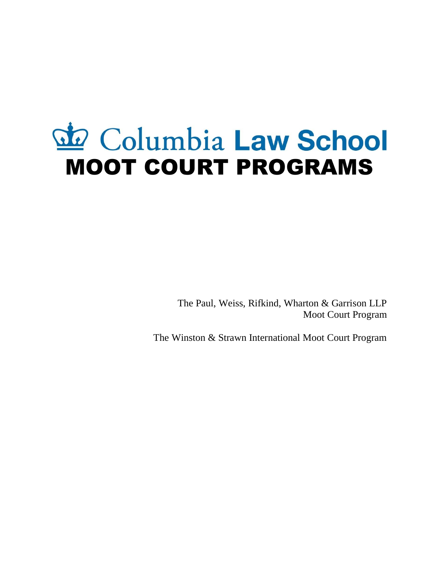# do Columbia Law School MOOT COURT PROGRAMS

The Paul, Weiss, Rifkind, Wharton & Garrison LLP Moot Court Program

The Winston & Strawn International Moot Court Program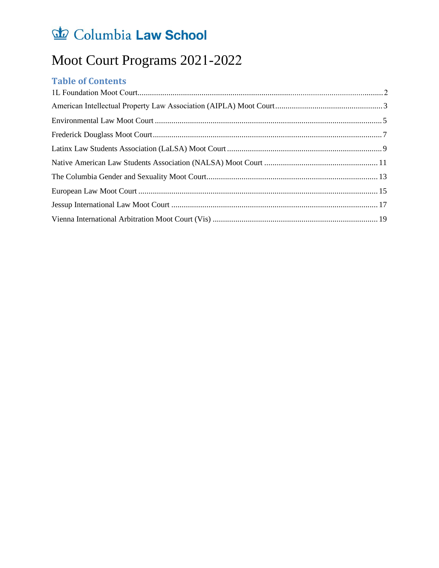### Moot Court Programs 2021-2022

#### **Table of Contents**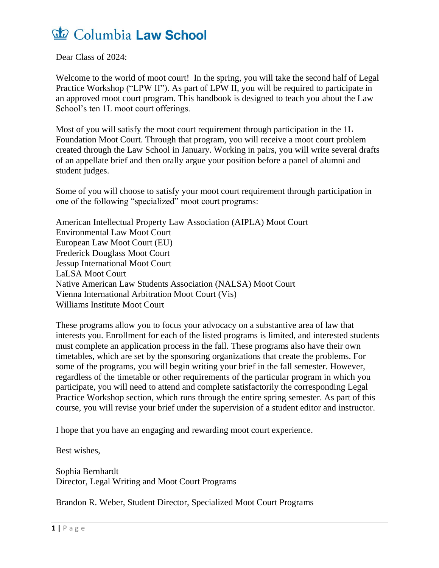Dear Class of 2024:

Welcome to the world of moot court! In the spring, you will take the second half of Legal Practice Workshop ("LPW II"). As part of LPW II, you will be required to participate in an approved moot court program. This handbook is designed to teach you about the Law School's ten 1L moot court offerings.

Most of you will satisfy the moot court requirement through participation in the 1L Foundation Moot Court. Through that program, you will receive a moot court problem created through the Law School in January. Working in pairs, you will write several drafts of an appellate brief and then orally argue your position before a panel of alumni and student judges.

Some of you will choose to satisfy your moot court requirement through participation in one of the following "specialized" moot court programs:

American Intellectual Property Law Association (AIPLA) Moot Court Environmental Law Moot Court European Law Moot Court (EU) Frederick Douglass Moot Court Jessup International Moot Court LaLSA Moot Court Native American Law Students Association (NALSA) Moot Court Vienna International Arbitration Moot Court (Vis) Williams Institute Moot Court

These programs allow you to focus your advocacy on a substantive area of law that interests you. Enrollment for each of the listed programs is limited, and interested students must complete an application process in the fall. These programs also have their own timetables, which are set by the sponsoring organizations that create the problems. For some of the programs, you will begin writing your brief in the fall semester. However, regardless of the timetable or other requirements of the particular program in which you participate, you will need to attend and complete satisfactorily the corresponding Legal Practice Workshop section, which runs through the entire spring semester. As part of this course, you will revise your brief under the supervision of a student editor and instructor.

I hope that you have an engaging and rewarding moot court experience.

Best wishes,

Sophia Bernhardt Director, Legal Writing and Moot Court Programs

Brandon R. Weber, Student Director, Specialized Moot Court Programs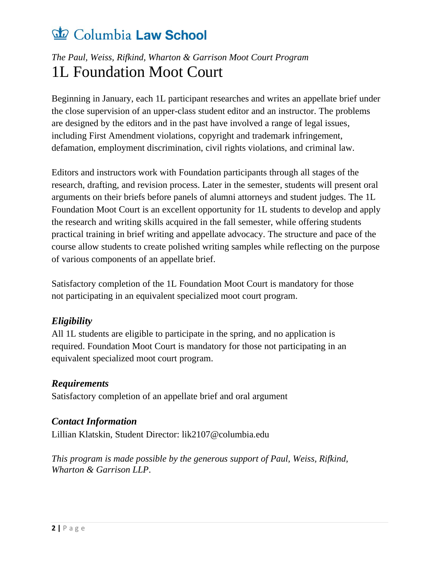### *The Paul, Weiss, Rifkind, Wharton & Garrison Moot Court Program* 1L Foundation Moot Court

Beginning in January, each 1L participant researches and writes an appellate brief under the close supervision of an upper-class student editor and an instructor. The problems are designed by the editors and in the past have involved a range of legal issues, including First Amendment violations, copyright and trademark infringement, defamation, employment discrimination, civil rights violations, and criminal law.

Editors and instructors work with Foundation participants through all stages of the research, drafting, and revision process. Later in the semester, students will present oral arguments on their briefs before panels of alumni attorneys and student judges. The 1L Foundation Moot Court is an excellent opportunity for 1L students to develop and apply the research and writing skills acquired in the fall semester, while offering students practical training in brief writing and appellate advocacy. The structure and pace of the course allow students to create polished writing samples while reflecting on the purpose of various components of an appellate brief.

Satisfactory completion of the 1L Foundation Moot Court is mandatory for those not participating in an equivalent specialized moot court program.

#### *Eligibility*

All 1L students are eligible to participate in the spring, and no application is required. Foundation Moot Court is mandatory for those not participating in an equivalent specialized moot court program.

#### *Requirements*

Satisfactory completion of an appellate brief and oral argument

#### *Contact Information*

Lillian Klatskin, Student Directo[r:](mailto:elizabeth.marden@columbia.edu) lik2107@columbia.edu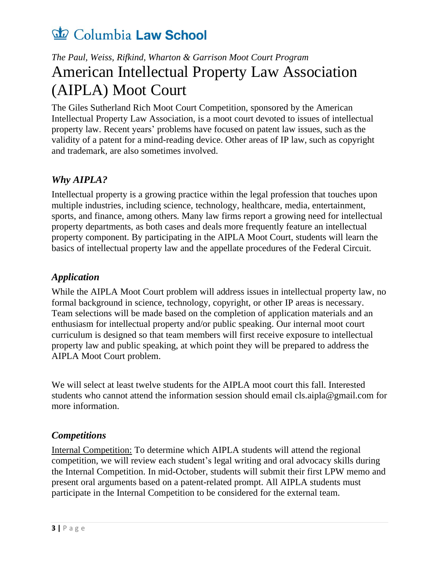### <span id="page-4-0"></span>*The Paul, Weiss, Rifkind, Wharton & Garrison Moot Court Program* American Intellectual Property Law Association (AIPLA) Moot Court

<span id="page-4-1"></span>The Giles Sutherland Rich Moot Court Competition, sponsored by the American Intellectual Property Law Association, is a moot court devoted to issues of intellectual property law. Recent years' problems have focused on patent law issues, such as the validity of a patent for a mind-reading device. Other areas of IP law, such as copyright and trademark, are also sometimes involved.

#### *Why AIPLA?*

Intellectual property is a growing practice within the legal profession that touches upon multiple industries, including science, technology, healthcare, media, entertainment, sports, and finance, among others. Many law firms report a growing need for intellectual property departments, as both cases and deals more frequently feature an intellectual property component. By participating in the AIPLA Moot Court, students will learn the basics of intellectual property law and the appellate procedures of the Federal Circuit.

#### *Application*

While the AIPLA Moot Court problem will address issues in intellectual property law, no formal background in science, technology, copyright, or other IP areas is necessary. Team selections will be made based on the completion of application materials and an enthusiasm for intellectual property and/or public speaking. Our internal moot court curriculum is designed so that team members will first receive exposure to intellectual property law and public speaking, at which point they will be prepared to address the AIPLA Moot Court problem.

We will select at least twelve students for the AIPLA moot court this fall. Interested students who cannot attend the information session should email cls.aipla@gmail.com for more information.

#### *Competitions*

Internal Competition: To determine which AIPLA students will attend the regional competition, we will review each student's legal writing and oral advocacy skills during the Internal Competition. In mid-October, students will submit their first LPW memo and present oral arguments based on a patent-related prompt. All AIPLA students must participate in the Internal Competition to be considered for the external team.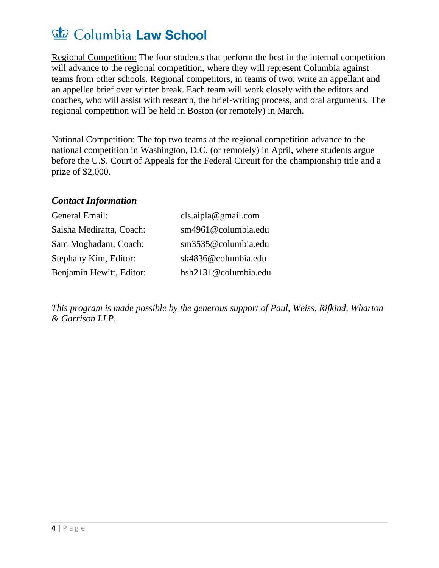Regional Competition: The four students that perform the best in the internal competition will advance to the regional competition, where they will represent Columbia against teams from other schools. Regional competitors, in teams of two, write an appellant and an appellee brief over winter break. Each team will work closely with the editors and coaches, who will assist with research, the brief-writing process, and oral arguments. The regional competition will be held in Boston (or remotely) in March.

National Competition: The top two teams at the regional competition advance to the national competition in Washington, D.C. (or remotely) in April, where students argue before the U.S. Court of Appeals for the Federal Circuit for the championship title and a prize of \$2,000.

#### *Contact Information*

| General Email:           | cls. aipla@gmail.com |
|--------------------------|----------------------|
| Saisha Mediratta, Coach: | sm4961@columbia.edu  |
| Sam Moghadam, Coach:     | sm3535@columbia.edu  |
| Stephany Kim, Editor:    | sk4836@columbia.edu  |
| Benjamin Hewitt, Editor: | hsh2131@columbia.edu |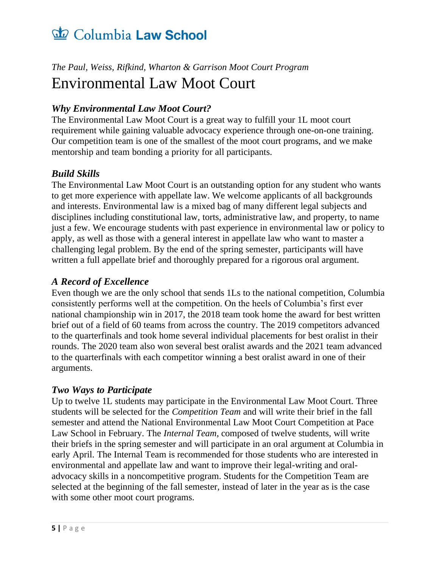### <span id="page-6-0"></span>*The Paul, Weiss, Rifkind, Wharton & Garrison Moot Court Program* Environmental Law Moot Court

#### *Why Environmental Law Moot Court?*

The Environmental Law Moot Court is a great way to fulfill your 1L moot court requirement while gaining valuable advocacy experience through one-on-one training. Our competition team is one of the smallest of the moot court programs, and we make mentorship and team bonding a priority for all participants.

#### *Build Skills*

The Environmental Law Moot Court is an outstanding option for any student who wants to get more experience with appellate law. We welcome applicants of all backgrounds and interests. Environmental law is a mixed bag of many different legal subjects and disciplines including constitutional law, torts, administrative law, and property, to name just a few. We encourage students with past experience in environmental law or policy to apply, as well as those with a general interest in appellate law who want to master a challenging legal problem. By the end of the spring semester, participants will have written a full appellate brief and thoroughly prepared for a rigorous oral argument.

#### *A Record of Excellence*

Even though we are the only school that sends 1Ls to the national competition, Columbia consistently performs well at the competition. On the heels of Columbia's first ever national championship win in 2017, the 2018 team took home the award for best written brief out of a field of 60 teams from across the country. The 2019 competitors advanced to the quarterfinals and took home several individual placements for best oralist in their rounds. The 2020 team also won several best oralist awards and the 2021 team advanced to the quarterfinals with each competitor winning a best oralist award in one of their arguments.

#### *Two Ways to Participate*

Up to twelve 1L students may participate in the Environmental Law Moot Court. Three students will be selected for the *Competition Team* and will write their brief in the fall semester and attend the National Environmental Law Moot Court Competition at Pace Law School in February. The *Internal Team*, composed of twelve students, will write their briefs in the spring semester and will participate in an oral argument at Columbia in early April. The Internal Team is recommended for those students who are interested in environmental and appellate law and want to improve their legal-writing and oraladvocacy skills in a noncompetitive program. Students for the Competition Team are selected at the beginning of the fall semester, instead of later in the year as is the case with some other moot court programs.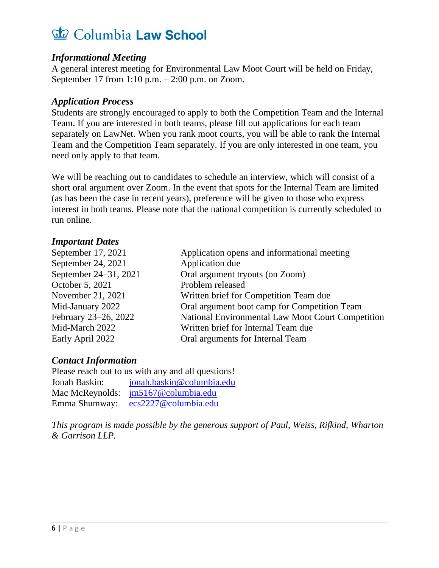#### *Informational Meeting*

A general interest meeting for Environmental Law Moot Court will be held on Friday, September 17 from  $1:10$  p.m.  $- 2:00$  p.m. on Zoom.

#### *Application Process*

Students are strongly encouraged to apply to both the Competition Team and the Internal Team. If you are interested in both teams, please fill out applications for each team separately on LawNet. When you rank moot courts, you will be able to rank the Internal Team and the Competition Team separately. If you are only interested in one team, you need only apply to that team.

We will be reaching out to candidates to schedule an interview, which will consist of a short oral argument over Zoom. In the event that spots for the Internal Team are limited (as has been the case in recent years), preference will be given to those who express interest in both teams. Please note that the national competition is currently scheduled to run online.

#### *Important Dates*

| September 17, 2021    | Application opens and informational meeting       |
|-----------------------|---------------------------------------------------|
| September 24, 2021    | Application due                                   |
| September 24–31, 2021 | Oral argument tryouts (on Zoom)                   |
| October 5, 2021       | Problem released                                  |
| November 21, 2021     | Written brief for Competition Team due            |
| Mid-January 2022      | Oral argument boot camp for Competition Team      |
| February 23-26, 2022  | National Environmental Law Moot Court Competition |
| Mid-March 2022        | Written brief for Internal Team due               |
| Early April 2022      | Oral arguments for Internal Team                  |
|                       |                                                   |

#### *Contact Information*

| Please reach out to us with any and all questions! |                                     |  |
|----------------------------------------------------|-------------------------------------|--|
| Jonah Baskin:                                      | jonah.baskin@columbia.edu           |  |
|                                                    | Mac McReynolds: jm5167@columbia.edu |  |
| Emma Shumway:                                      | ecs2227@columbia.edu                |  |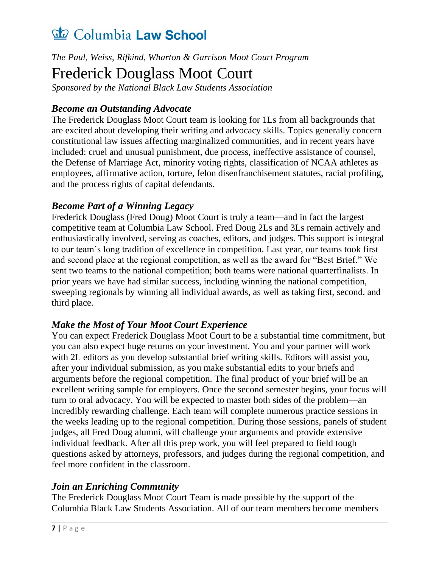*The Paul, Weiss, Rifkind, Wharton & Garrison Moot Court Program*

### <span id="page-8-0"></span>Frederick Douglass Moot Court

*Sponsored by the National Black Law Students Association*

#### *Become an Outstanding Advocate*

The Frederick Douglass Moot Court team is looking for 1Ls from all backgrounds that are excited about developing their writing and advocacy skills. Topics generally concern constitutional law issues affecting marginalized communities, and in recent years have included: cruel and unusual punishment, due process, ineffective assistance of counsel, the Defense of Marriage Act, minority voting rights, classification of NCAA athletes as employees, affirmative action, torture, felon disenfranchisement statutes, racial profiling, and the process rights of capital defendants.

#### *Become Part of a Winning Legacy*

Frederick Douglass (Fred Doug) Moot Court is truly a team—and in fact the largest competitive team at Columbia Law School. Fred Doug 2Ls and 3Ls remain actively and enthusiastically involved, serving as coaches, editors, and judges. This support is integral to our team's long tradition of excellence in competition. Last year, our teams took first and second place at the regional competition, as well as the award for "Best Brief." We sent two teams to the national competition; both teams were national quarterfinalists. In prior years we have had similar success, including winning the national competition, sweeping regionals by winning all individual awards, as well as taking first, second, and third place.

#### *Make the Most of Your Moot Court Experience*

You can expect Frederick Douglass Moot Court to be a substantial time commitment, but you can also expect huge returns on your investment. You and your partner will work with 2L editors as you develop substantial brief writing skills. Editors will assist you, after your individual submission, as you make substantial edits to your briefs and arguments before the regional competition. The final product of your brief will be an excellent writing sample for employers. Once the second semester begins, your focus will turn to oral advocacy. You will be expected to master both sides of the problem—an incredibly rewarding challenge. Each team will complete numerous practice sessions in the weeks leading up to the regional competition. During those sessions, panels of student judges, all Fred Doug alumni, will challenge your arguments and provide extensive individual feedback. After all this prep work, you will feel prepared to field tough questions asked by attorneys, professors, and judges during the regional competition, and feel more confident in the classroom.

#### *Join an Enriching Community*

The Frederick Douglass Moot Court Team is made possible by the support of the Columbia Black Law Students Association. All of our team members become members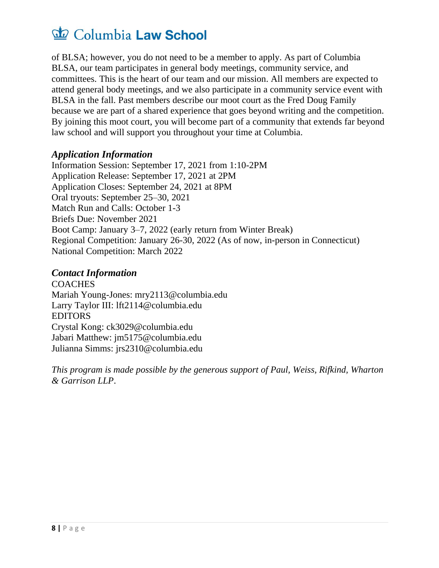of BLSA; however, you do not need to be a member to apply. As part of Columbia BLSA, our team participates in general body meetings, community service, and committees. This is the heart of our team and our mission. All members are expected to attend general body meetings, and we also participate in a community service event with BLSA in the fall. Past members describe our moot court as the Fred Doug Family because we are part of a shared experience that goes beyond writing and the competition. By joining this moot court, you will become part of a community that extends far beyond law school and will support you throughout your time at Columbia.

#### *Application Information*

Information Session: September 17, 2021 from 1:10-2PM Application Release: September 17, 2021 at 2PM Application Closes: September 24, 2021 at 8PM Oral tryouts: September 25–30, 2021 Match Run and Calls: October 1-3 Briefs Due: November 2021 Boot Camp: January 3–7, 2022 (early return from Winter Break) Regional Competition: January 26-30, 2022 (As of now, in-person in Connecticut) National Competition: March 2022

#### *Contact Information*

**COACHES** Mariah Young-Jones: mry2113@columbia.edu Larry Taylor III: lft2114@columbia.edu EDITORS Crystal Kong: ck3029@columbia.edu Jabari Matthew: jm5175@columbia.edu Julianna Simms: jrs2310@columbia.edu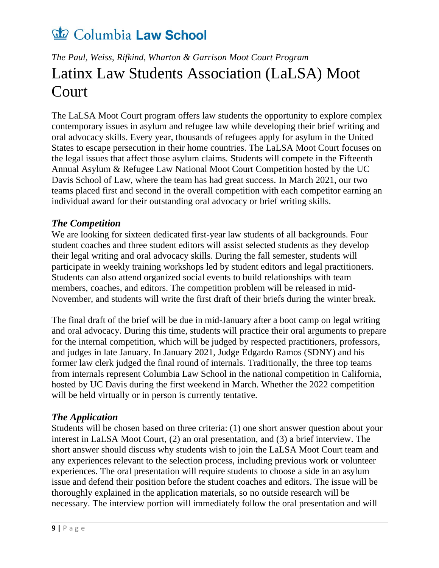### <span id="page-10-0"></span>*The Paul, Weiss, Rifkind, Wharton & Garrison Moot Court Program* Latinx Law Students Association (LaLSA) Moot Court

The LaLSA Moot Court program offers law students the opportunity to explore complex contemporary issues in asylum and refugee law while developing their brief writing and oral advocacy skills. Every year, thousands of refugees apply for asylum in the United States to escape persecution in their home countries. The LaLSA Moot Court focuses on the legal issues that affect those asylum claims. Students will compete in the Fifteenth Annual Asylum & Refugee Law National Moot Court Competition hosted by the UC Davis School of Law, where the team has had great success. In March 2021, our two teams placed first and second in the overall competition with each competitor earning an individual award for their outstanding oral advocacy or brief writing skills.

#### *The Competition*

We are looking for sixteen dedicated first-year law students of all backgrounds. Four student coaches and three student editors will assist selected students as they develop their legal writing and oral advocacy skills. During the fall semester, students will participate in weekly training workshops led by student editors and legal practitioners. Students can also attend organized social events to build relationships with team members, coaches, and editors. The competition problem will be released in mid-November, and students will write the first draft of their briefs during the winter break.

The final draft of the brief will be due in mid-January after a boot camp on legal writing and oral advocacy. During this time, students will practice their oral arguments to prepare for the internal competition, which will be judged by respected practitioners, professors, and judges in late January. In January 2021, Judge Edgardo Ramos (SDNY) and his former law clerk judged the final round of internals. Traditionally, the three top teams from internals represent Columbia Law School in the national competition in California, hosted by UC Davis during the first weekend in March. Whether the 2022 competition will be held virtually or in person is currently tentative.

#### *The Application*

Students will be chosen based on three criteria: (1) one short answer question about your interest in LaLSA Moot Court, (2) an oral presentation, and (3) a brief interview. The short answer should discuss why students wish to join the LaLSA Moot Court team and any experiences relevant to the selection process, including previous work or volunteer experiences. The oral presentation will require students to choose a side in an asylum issue and defend their position before the student coaches and editors. The issue will be thoroughly explained in the application materials, so no outside research will be necessary. The interview portion will immediately follow the oral presentation and will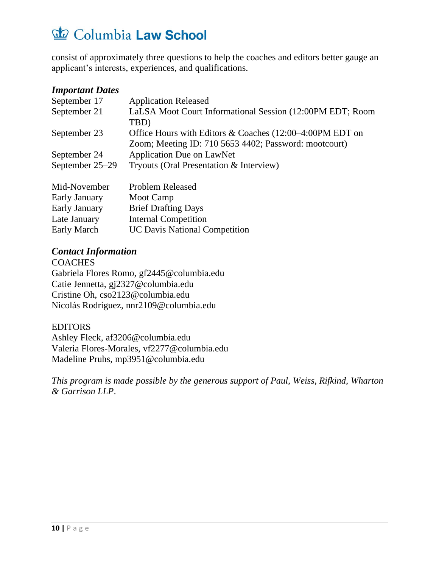consist of approximately three questions to help the coaches and editors better gauge an applicant's interests, experiences, and qualifications.

#### *Important Dates*

| September 17    | <b>Application Released</b>                                 |
|-----------------|-------------------------------------------------------------|
| September 21    | LaLSA Moot Court Informational Session (12:00PM EDT; Room   |
|                 | TBD)                                                        |
| September 23    | Office Hours with Editors & Coaches $(12:00-4:00$ PM EDT on |
|                 | Zoom; Meeting ID: 710 5653 4402; Password: mootcourt)       |
| September 24    | <b>Application Due on LawNet</b>                            |
| September 25–29 | Tryouts (Oral Presentation & Interview)                     |
| Mid-November    | <b>Problem Released</b>                                     |
| Early January   | Moot Camp                                                   |
| Early January   | <b>Brief Drafting Days</b>                                  |
| Late January    | <b>Internal Competition</b>                                 |

*Contact Information* **COACHES** Gabriela Flores Romo, gf2445@columbia.edu Catie Jennetta, gj2327@columbia.edu Cristine Oh, cso2123@columbia.edu Nicolás Rodríguez, nnr2109@columbia.edu

Early March UC Davis National Competition

#### EDITORS

Ashley Fleck, af3206@columbia.edu Valeria Flores-Morales, vf2277@columbia.edu Madeline Pruhs, mp3951@columbia.edu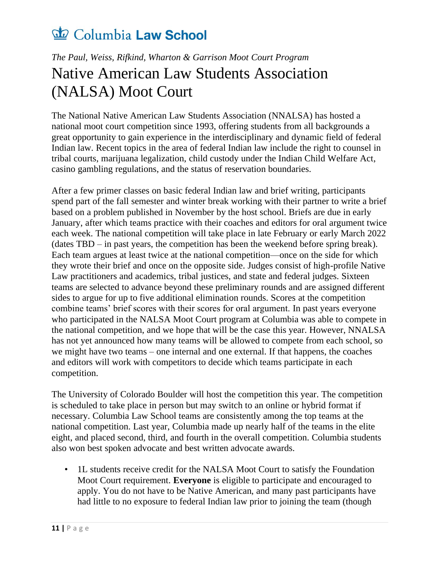### <span id="page-12-0"></span>*The Paul, Weiss, Rifkind, Wharton & Garrison Moot Court Program* Native American Law Students Association (NALSA) Moot Court

The National Native American Law Students Association (NNALSA) has hosted a national moot court competition since 1993, offering students from all backgrounds a great opportunity to gain experience in the interdisciplinary and dynamic field of federal Indian law. Recent topics in the area of federal Indian law include the right to counsel in tribal courts, marijuana legalization, child custody under the Indian Child Welfare Act, casino gambling regulations, and the status of reservation boundaries.

After a few primer classes on basic federal Indian law and brief writing, participants spend part of the fall semester and winter break working with their partner to write a brief based on a problem published in November by the host school. Briefs are due in early January, after which teams practice with their coaches and editors for oral argument twice each week. The national competition will take place in late February or early March 2022 (dates TBD – in past years, the competition has been the weekend before spring break). Each team argues at least twice at the national competition—once on the side for which they wrote their brief and once on the opposite side. Judges consist of high-profile Native Law practitioners and academics, tribal justices, and state and federal judges. Sixteen teams are selected to advance beyond these preliminary rounds and are assigned different sides to argue for up to five additional elimination rounds. Scores at the competition combine teams' brief scores with their scores for oral argument. In past years everyone who participated in the NALSA Moot Court program at Columbia was able to compete in the national competition, and we hope that will be the case this year. However, NNALSA has not yet announced how many teams will be allowed to compete from each school, so we might have two teams – one internal and one external. If that happens, the coaches and editors will work with competitors to decide which teams participate in each competition.

The University of Colorado Boulder will host the competition this year. The competition is scheduled to take place in person but may switch to an online or hybrid format if necessary. Columbia Law School teams are consistently among the top teams at the national competition. Last year, Columbia made up nearly half of the teams in the elite eight, and placed second, third, and fourth in the overall competition. Columbia students also won best spoken advocate and best written advocate awards.

• 1L students receive credit for the NALSA Moot Court to satisfy the Foundation Moot Court requirement. **Everyone** is eligible to participate and encouraged to apply. You do not have to be Native American, and many past participants have had little to no exposure to federal Indian law prior to joining the team (though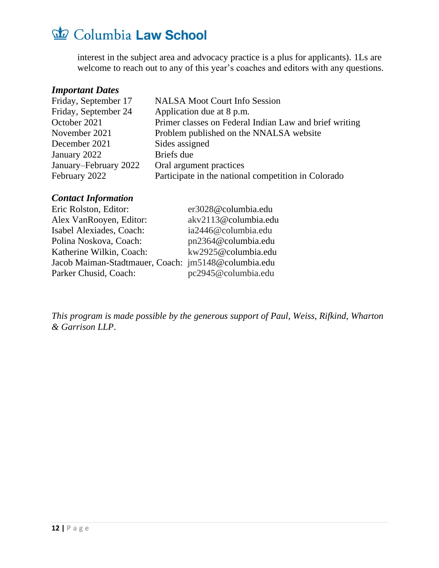interest in the subject area and advocacy practice is a plus for applicants). 1Ls are welcome to reach out to any of this year's coaches and editors with any questions.

#### *Important Dates*

| Friday, September 17  | <b>NALSA Moot Court Info Session</b>                   |
|-----------------------|--------------------------------------------------------|
| Friday, September 24  | Application due at 8 p.m.                              |
| October 2021          | Primer classes on Federal Indian Law and brief writing |
| November 2021         | Problem published on the NNALSA website                |
| December 2021         | Sides assigned                                         |
| January 2022          | Briefs due                                             |
| January–February 2022 | Oral argument practices                                |
| February 2022         | Participate in the national competition in Colorado    |
|                       |                                                        |

#### *Contact Information*

| Eric Rolston, Editor:                               | er3028@columbia.edu  |
|-----------------------------------------------------|----------------------|
| Alex VanRooyen, Editor:                             | akv2113@columbia.edu |
| Isabel Alexiades, Coach:                            | ia2446@columbia.edu  |
| Polina Noskova, Coach:                              | pn2364@columbia.edu  |
| Katherine Wilkin, Coach:                            | kw2925@columbia.edu  |
| Jacob Maiman-Stadtmauer, Coach: jm5148@columbia.edu |                      |
| Parker Chusid, Coach:                               | pc2945@columbia.edu  |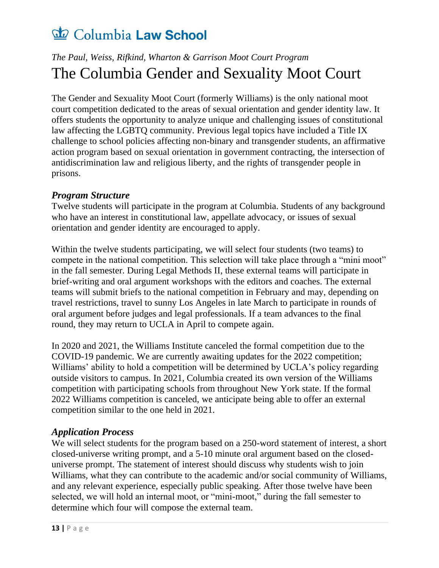### <span id="page-14-0"></span>*The Paul, Weiss, Rifkind, Wharton & Garrison Moot Court Program* The Columbia Gender and Sexuality Moot Court

The Gender and Sexuality Moot Court (formerly Williams) is the only national moot court competition dedicated to the areas of sexual orientation and gender identity law. It offers students the opportunity to analyze unique and challenging issues of constitutional law affecting the LGBTQ community. Previous legal topics have included a Title IX challenge to school policies affecting non-binary and transgender students, an affirmative action program based on sexual orientation in government contracting, the intersection of antidiscrimination law and religious liberty, and the rights of transgender people in prisons.

#### *Program Structure*

Twelve students will participate in the program at Columbia. Students of any background who have an interest in constitutional law, appellate advocacy, or issues of sexual orientation and gender identity are encouraged to apply.

Within the twelve students participating, we will select four students (two teams) to compete in the national competition. This selection will take place through a "mini moot" in the fall semester. During Legal Methods II, these external teams will participate in brief-writing and oral argument workshops with the editors and coaches. The external teams will submit briefs to the national competition in February and may, depending on travel restrictions, travel to sunny Los Angeles in late March to participate in rounds of oral argument before judges and legal professionals. If a team advances to the final round, they may return to UCLA in April to compete again.

In 2020 and 2021, the Williams Institute canceled the formal competition due to the COVID-19 pandemic. We are currently awaiting updates for the 2022 competition; Williams' ability to hold a competition will be determined by UCLA's policy regarding outside visitors to campus. In 2021, Columbia created its own version of the Williams competition with participating schools from throughout New York state. If the formal 2022 Williams competition is canceled, we anticipate being able to offer an external competition similar to the one held in 2021.

#### *Application Process*

We will select students for the program based on a 250-word statement of interest, a short closed-universe writing prompt, and a 5-10 minute oral argument based on the closeduniverse prompt. The statement of interest should discuss why students wish to join Williams, what they can contribute to the academic and/or social community of Williams, and any relevant experience, especially public speaking. After those twelve have been selected, we will hold an internal moot, or "mini-moot," during the fall semester to determine which four will compose the external team.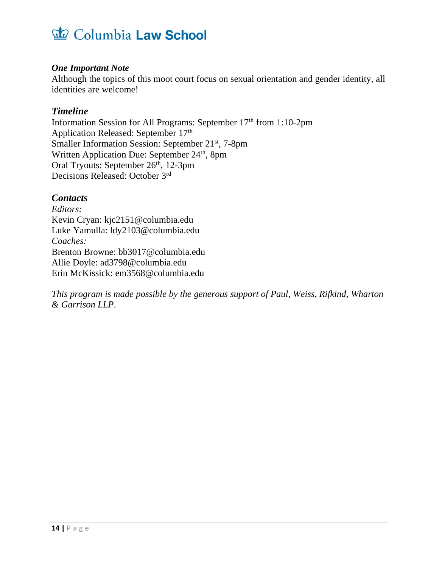#### *One Important Note*

Although the topics of this moot court focus on sexual orientation and gender identity, all identities are welcome!

#### *Timeline*

Information Session for All Programs: September 17<sup>th</sup> from 1:10-2pm Application Released: September 17<sup>th</sup> Smaller Information Session: September 21<sup>st</sup>, 7-8pm Written Application Due: September 24<sup>th</sup>, 8pm Oral Tryouts: September 26<sup>th</sup>, 12-3pm Decisions Released: October 3rd

#### *Contacts*

*Editors:* Kevin Cryan: kjc2151@columbia.edu Luke Yamulla: ldy2103@columbia.edu *Coaches:* Brenton Browne: bb3017@columbia.edu Allie Doyle: ad3798@columbia.edu Erin McKissick: em3568@columbia.edu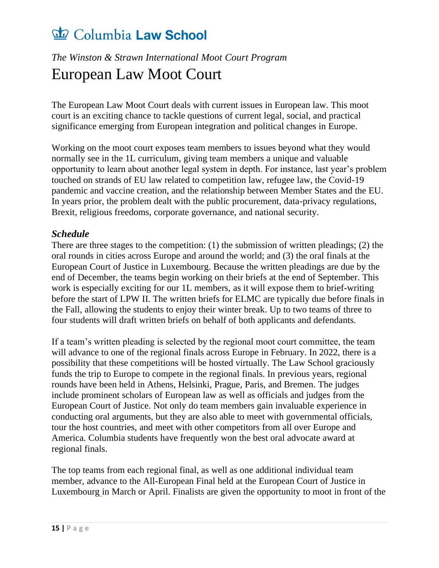### <span id="page-16-0"></span>*The Winston & Strawn International Moot Court Program* European Law Moot Court

The European Law Moot Court deals with current issues in European law. This moot court is an exciting chance to tackle questions of current legal, social, and practical significance emerging from European integration and political changes in Europe.

Working on the moot court exposes team members to issues beyond what they would normally see in the 1L curriculum, giving team members a unique and valuable opportunity to learn about another legal system in depth. For instance, last year's problem touched on strands of EU law related to competition law, refugee law, the Covid-19 pandemic and vaccine creation, and the relationship between Member States and the EU. In years prior, the problem dealt with the public procurement, data-privacy regulations, Brexit, religious freedoms, corporate governance, and national security.

#### *Schedule*

There are three stages to the competition: (1) the submission of written pleadings; (2) the oral rounds in cities across Europe and around the world; and (3) the oral finals at the European Court of Justice in Luxembourg. Because the written pleadings are due by the end of December, the teams begin working on their briefs at the end of September. This work is especially exciting for our 1L members, as it will expose them to brief-writing before the start of LPW II. The written briefs for ELMC are typically due before finals in the Fall, allowing the students to enjoy their winter break. Up to two teams of three to four students will draft written briefs on behalf of both applicants and defendants.

If a team's written pleading is selected by the regional moot court committee, the team will advance to one of the regional finals across Europe in February. In 2022, there is a possibility that these competitions will be hosted virtually. The Law School graciously funds the trip to Europe to compete in the regional finals. In previous years, regional rounds have been held in Athens, Helsinki, Prague, Paris, and Bremen. The judges include prominent scholars of European law as well as officials and judges from the European Court of Justice. Not only do team members gain invaluable experience in conducting oral arguments, but they are also able to meet with governmental officials, tour the host countries, and meet with other competitors from all over Europe and America. Columbia students have frequently won the best oral advocate award at regional finals.

The top teams from each regional final, as well as one additional individual team member, advance to the All-European Final held at the European Court of Justice in Luxembourg in March or April. Finalists are given the opportunity to moot in front of the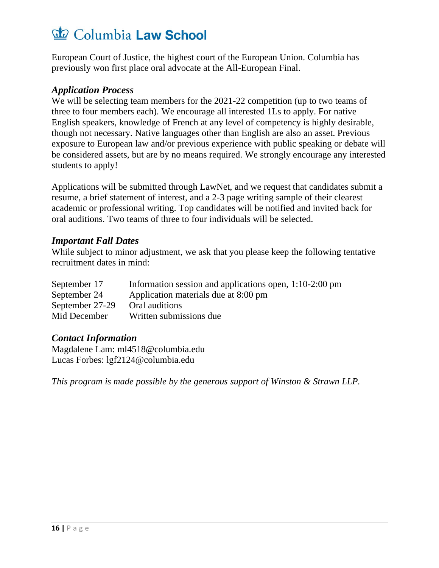European Court of Justice, the highest court of the European Union. Columbia has previously won first place oral advocate at the All-European Final.

#### *Application Process*

We will be selecting team members for the 2021-22 competition (up to two teams of three to four members each). We encourage all interested 1Ls to apply. For native English speakers, knowledge of French at any level of competency is highly desirable, though not necessary. Native languages other than English are also an asset. Previous exposure to European law and/or previous experience with public speaking or debate will be considered assets, but are by no means required. We strongly encourage any interested students to apply!

Applications will be submitted through LawNet, and we request that candidates submit a resume, a brief statement of interest, and a 2-3 page writing sample of their clearest academic or professional writing. Top candidates will be notified and invited back for oral auditions. Two teams of three to four individuals will be selected.

#### *Important Fall Dates*

While subject to minor adjustment, we ask that you please keep the following tentative recruitment dates in mind:

| September 17    | Information session and applications open, 1:10-2:00 pm |
|-----------------|---------------------------------------------------------|
| September 24    | Application materials due at 8:00 pm                    |
| September 27-29 | Oral auditions                                          |
| Mid December    | Written submissions due                                 |

#### *Contact Information*

Magdalene Lam: ml4518@columbia.edu Lucas Forbes: lgf2124@columbia.edu

*This program is made possible by the generous support of Winston & Strawn LLP.*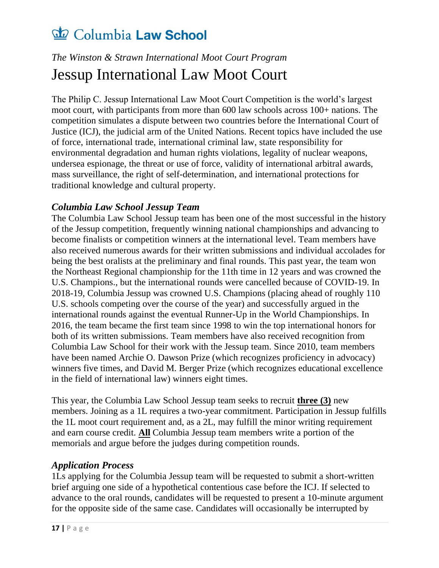### <span id="page-18-0"></span>*The Winston & Strawn International Moot Court Program* Jessup International Law Moot Court

The Philip C. Jessup International Law Moot Court Competition is the world's largest moot court, with participants from more than 600 law schools across 100+ nations. The competition simulates a dispute between two countries before the International Court of Justice (ICJ), the judicial arm of the United Nations. Recent topics have included the use of force, international trade, international criminal law, state responsibility for environmental degradation and human rights violations, legality of nuclear weapons, undersea espionage, the threat or use of force, validity of international arbitral awards, mass surveillance, the right of self-determination, and international protections for traditional knowledge and cultural property.

#### *Columbia Law School Jessup Team*

The Columbia Law School Jessup team has been one of the most successful in the history of the Jessup competition, frequently winning national championships and advancing to become finalists or competition winners at the international level. Team members have also received numerous awards for their written submissions and individual accolades for being the best oralists at the preliminary and final rounds. This past year, the team won the Northeast Regional championship for the 11th time in 12 years and was crowned the U.S. Champions., but the international rounds were cancelled because of COVID-19. In 2018-19, Columbia Jessup was crowned U.S. Champions (placing ahead of roughly 110 U.S. schools competing over the course of the year) and successfully argued in the international rounds against the eventual Runner-Up in the World Championships. In 2016, the team became the first team since 1998 to win the top international honors for both of its written submissions. Team members have also received recognition from Columbia Law School for their work with the Jessup team. Since 2010, team members have been named Archie O. Dawson Prize (which recognizes proficiency in advocacy) winners five times, and David M. Berger Prize (which recognizes educational excellence in the field of international law) winners eight times.

This year, the Columbia Law School Jessup team seeks to recruit **three (3)** new members. Joining as a 1L requires a two-year commitment. Participation in Jessup fulfills the 1L moot court requirement and, as a 2L, may fulfill the minor writing requirement and earn course credit. **All** Columbia Jessup team members write a portion of the memorials and argue before the judges during competition rounds.

#### *Application Process*

1Ls applying for the Columbia Jessup team will be requested to submit a short-written brief arguing one side of a hypothetical contentious case before the ICJ. If selected to advance to the oral rounds, candidates will be requested to present a 10-minute argument for the opposite side of the same case. Candidates will occasionally be interrupted by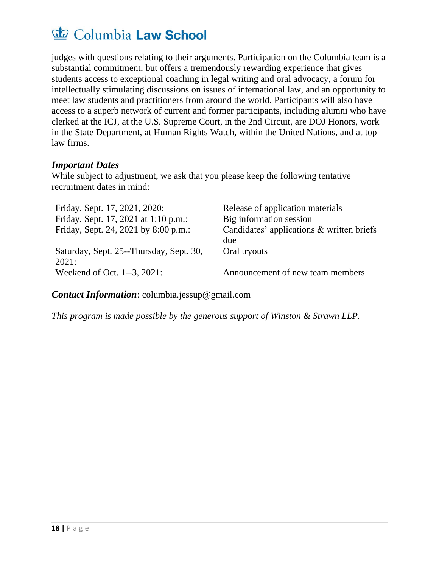judges with questions relating to their arguments. Participation on the Columbia team is a substantial commitment, but offers a tremendously rewarding experience that gives students access to exceptional coaching in legal writing and oral advocacy, a forum for intellectually stimulating discussions on issues of international law, and an opportunity to meet law students and practitioners from around the world. Participants will also have access to a superb network of current and former participants, including alumni who have clerked at the ICJ, at the U.S. Supreme Court, in the 2nd Circuit, are DOJ Honors, work in the State Department, at Human Rights Watch, within the United Nations, and at top law firms.

#### *Important Dates*

While subject to adjustment, we ask that you please keep the following tentative recruitment dates in mind:

| Friday, Sept. 17, 2021, 2020:           | Release of application materials          |
|-----------------------------------------|-------------------------------------------|
| Friday, Sept. 17, 2021 at 1:10 p.m.:    | Big information session                   |
| Friday, Sept. 24, 2021 by 8:00 p.m.:    | Candidates' applications & written briefs |
|                                         | due                                       |
| Saturday, Sept. 25--Thursday, Sept. 30, | Oral tryouts                              |
| 2021:                                   |                                           |
| Weekend of Oct. 1--3, 2021:             | Announcement of new team members          |

*Contact Information*: columbia.jessup@gmail.com

*This program is made possible by the generous support of Winston & Strawn LLP.*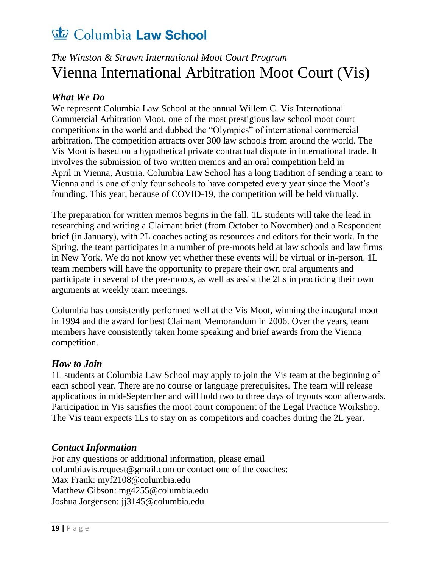### <span id="page-20-0"></span>*The Winston & Strawn International Moot Court Program* Vienna International Arbitration Moot Court (Vis)

#### *What We Do*

We represent Columbia Law School at the annual Willem C. Vis International Commercial Arbitration Moot, one of the most prestigious law school moot court competitions in the world and dubbed the "Olympics" of international commercial arbitration. The competition attracts over 300 law schools from around the world. The Vis Moot is based on a hypothetical private contractual dispute in international trade. It involves the submission of two written memos and an oral competition held in April in Vienna, Austria. Columbia Law School has a long tradition of sending a team to Vienna and is one of only four schools to have competed every year since the Moot's founding. This year, because of COVID-19, the competition will be held virtually.

The preparation for written memos begins in the fall. 1L students will take the lead in researching and writing a Claimant brief (from October to November) and a Respondent brief (in January), with 2L coaches acting as resources and editors for their work. In the Spring, the team participates in a number of pre-moots held at law schools and law firms in New York. We do not know yet whether these events will be virtual or in-person. 1L team members will have the opportunity to prepare their own oral arguments and participate in several of the pre-moots, as well as assist the 2Ls in practicing their own arguments at weekly team meetings.

Columbia has consistently performed well at the Vis Moot, winning the inaugural moot in 1994 and the award for best Claimant Memorandum in 2006. Over the years, team members have consistently taken home speaking and brief awards from the Vienna competition.

#### *How to Join*

1L students at Columbia Law School may apply to join the Vis team at the beginning of each school year. There are no course or language prerequisites. The team will release applications in mid-September and will hold two to three days of tryouts soon afterwards. Participation in Vis satisfies the moot court component of the Legal Practice Workshop. The Vis team expects 1Ls to stay on as competitors and coaches during the 2L year.

#### *Contact Information*

For any questions or additional information, please email columbiavis.request@gmail.com or contact one of the coaches: Max Frank: myf2108@columbia.edu Matthew Gibson: mg4255@columbia.edu Joshua Jorgensen: jj3145@columbia.edu